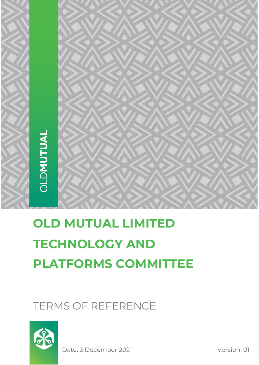

# **OLD MUTUAL LIMITED TECHNOLOGY AND PLATFORMS COMMITTEE**

# TERMS OF REFERENCE



Date: 3 December 2021 Version: 01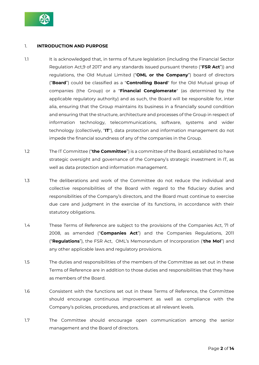

# 1. **INTRODUCTION AND PURPOSE**

- 1.1 It is acknowledged that, in terms of future legislation (including the Financial Sector Regulation Act,9 of 2017 and any standards issued pursuant thereto ("**FSR Act**")) and regulations, the Old Mutual Limited ("**OML or the Company**") board of directors ("**Board**") could be classified as a "**Controlling Board**" for the Old Mutual group of companies (the Group) or a "**Financial Conglomerate**" (as determined by the applicable regulatory authority) and as such, the Board will be responsible for, inter alia, ensuring that the Group maintains its business in a financially sound condition and ensuring that the structure, architecture and processes of the Group in respect of information technology, telecommunications, software, systems and wider technology (collectively, "**IT**"), data protection and information management do not impede the financial soundness of any of the companies in the Group.
- 1.2 The IT Committee ("**the Committee**") is a committee of the Board, established to have strategic oversight and governance of the Company's strategic investment in IT, as well as data protection and information management.
- 1.3 The deliberations and work of the Committee do not reduce the individual and collective responsibilities of the Board with regard to the fiduciary duties and responsibilities of the Company's directors, and the Board must continue to exercise due care and judgment in the exercise of its functions, in accordance with their statutory obligations.
- 1.4 These Terms of Reference are subject to the provisions of the Companies Act, 71 of 2008, as amended ("**Companies Act**") and the Companies Regulations, 2011 ("**Regulations**"), the FSR Act, OML's Memorandum of Incorporation ('**the MoI**") and any other applicable laws and regulatory provisions.
- 1.5 The duties and responsibilities of the members of the Committee as set out in these Terms of Reference are in addition to those duties and responsibilities that they have as members of the Board.
- 1.6 Consistent with the functions set out in these Terms of Reference, the Committee should encourage continuous improvement as well as compliance with the Company's policies, procedures, and practices at all relevant levels.
- 1.7 The Committee should encourage open communication among the senior management and the Board of directors.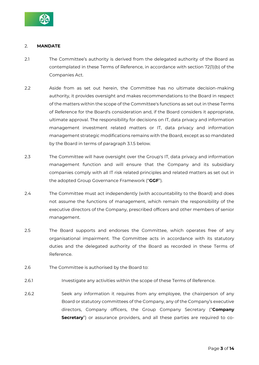

# 2. **MANDATE**

- 2.1 The Committee's authority is derived from the delegated authority of the Board as contemplated in these Terms of Reference, in accordance with section 72(1)(b) of the Companies Act.
- 2.2 Aside from as set out herein, the Committee has no ultimate decision-making authority, it provides oversight and makes recommendations to the Board in respect of the matters within the scope of the Committee's functions as set out in these Terms of Reference for the Board's consideration and, if the Board considers it appropriate, ultimate approval. The responsibility for decisions on IT, data privacy and information management investment related matters or IT, data privacy and information management strategic modifications remains with the Board, except as so mandated by the Board in terms of paragraph 3.1.5 below.
- 2.3 The Committee will have oversight over the Group's IT, data privacy and information management function and will ensure that the Company and its subsidiary companies comply with all IT risk related principles and related matters as set out in the adopted Group Governance Framework ("**GGF**").
- 2.4 The Committee must act independently (with accountability to the Board) and does not assume the functions of management, which remain the responsibility of the executive directors of the Company, prescribed officers and other members of senior management.
- 2.5 The Board supports and endorses the Committee, which operates free of any organisational impairment. The Committee acts in accordance with its statutory duties and the delegated authority of the Board as recorded in these Terms of Reference.
- 2.6 The Committee is authorised by the Board to:
- 2.6.1 Investigate any activities within the scope of these Terms of Reference.
- 2.6.2 Seek any information it requires from any employee, the chairperson of any Board or statutory committees of the Company, any of the Company's executive directors, Company officers, the Group Company Secretary ("**Company Secretary**") or assurance providers, and all these parties are required to co-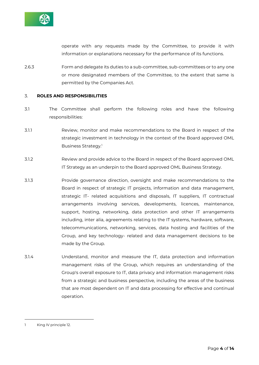

operate with any requests made by the Committee, to provide it with information or explanations necessary for the performance of its functions.

2.6.3 Form and delegate its duties to a sub-committee, sub-committees or to any one or more designated members of the Committee, to the extent that same is permitted by the Companies Act.

#### 3. **ROLES AND RESPONSIBILITIES**

- 3.1 The Committee shall perform the following roles and have the following responsibilities:
- 3.1.1 Review, monitor and make recommendations to the Board in respect of the strategic investment in technology in the context of the Board approved OML Business Strategy.<sup>1</sup>
- 3.1.2 Review and provide advice to the Board in respect of the Board approved OML IT Strategy as an underpin to the Board approved OML Business Strategy.
- 3.1.3 Provide governance direction, oversight and make recommendations to the Board in respect of strategic IT projects, information and data management, strategic IT- related acquisitions and disposals, IT suppliers, IT contractual arrangements involving services, developments, licences, maintenance, support, hosting, networking, data protection and other IT arrangements including, inter alia, agreements relating to the IT systems, hardware, software, telecommunications, networking, services, data hosting and facilities of the Group, and key technology- related and data management decisions to be made by the Group.
- 3.1.4 Understand, monitor and measure the IT, data protection and information management risks of the Group, which requires an understanding of the Group's overall exposure to IT, data privacy and information management risks from a strategic and business perspective, including the areas of the business that are most dependent on IT and data processing for effective and continual operation.

<sup>1</sup> King IV principle 12.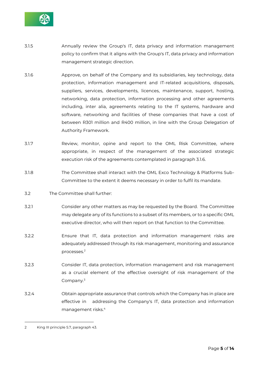

- 3.1.5 Annually review the Group's IT, data privacy and information management policy to confirm that it aligns with the Group's IT, data privacy and information management strategic direction.
- 3.1.6 Approve, on behalf of the Company and its subsidiaries, key technology, data protection, information management and IT-related acquisitions, disposals, suppliers, services, developments, licences, maintenance, support, hosting, networking, data protection, information processing and other agreements including, inter alia, agreements relating to the IT systems, hardware and software, networking and facilities of these companies that have a cost of between R301 million and R400 million, in line with the Group Delegation of Authority Framework.
- 3.1.7 Review, monitor, opine and report to the OML Risk Committee, where appropriate, in respect of the management of the associated strategic execution risk of the agreements contemplated in paragraph 3.1.6.
- 3.1.8 The Committee shall interact with the OML Exco Technology & Platforms Sub-Committee to the extent it deems necessary in order to fulfil its mandate.
- 3.2 The Committee shall further:
- 3.2.1 Consider any other matters as may be requested by the Board. The Committee may delegate any of its functions to a subset of its members, or to a specific OML executive director, who will then report on that function to the Committee.
- 3.2.2 Ensure that IT, data protection and information management risks are adequately addressed through its risk management, monitoring and assurance processes.<sup>2</sup>
- 3.2.3 Consider IT, data protection, information management and risk management as a crucial element of the effective oversight of risk management of the Company.<sup>3</sup>
- 3.2.4 Obtain appropriate assurance that controls which the Company has in place are effective in addressing the Company's IT, data protection and information management risks.<sup>4</sup>

<sup>2</sup> King III principle 5.7, paragraph 43.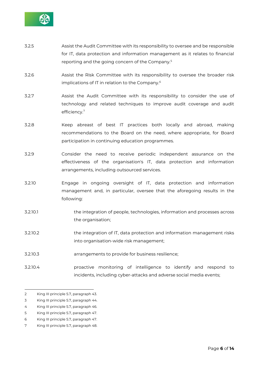

- 3.2.5 Assist the Audit Committee with its responsibility to oversee and be responsible for IT, data protection and information management as it relates to financial reporting and the going concern of the Company.<sup>5</sup>
- 3.2.6 Assist the Risk Committee with its responsibility to oversee the broader risk implications of IT in relation to the Company.<sup>6</sup>
- 3.2.7 Assist the Audit Committee with its responsibility to consider the use of technology and related techniques to improve audit coverage and audit efficiency.<sup>7</sup>
- 3.2.8 Keep abreast of best IT practices both locally and abroad, making recommendations to the Board on the need, where appropriate, for Board participation in continuing education programmes.
- 3.2.9 Consider the need to receive periodic independent assurance on the effectiveness of the organisation's IT, data protection and information arrangements, including outsourced services.
- 3.2.10 Engage in ongoing oversight of IT, data protection and information management and, in particular, oversee that the aforegoing results in the following:
- 3.2.10.1 the integration of people, technologies, information and processes across the organisation;
- 3.2.10.2 the integration of IT, data protection and information management risks into organisation-wide risk management;
- 3.2.10.3 arrangements to provide for business resilience;
- 3.2.10.4 proactive monitoring of intelligence to identify and respond to incidents, including cyber-attacks and adverse social media events;

- 3 King III principle 5.7, paragraph 44.
- 4 King III principle 5.7, paragraph 46.
- 5 King III principle 5.7, paragraph 47.
- 6 King III principle 5.7, paragraph 47.
- 7 King III principle 5.7, paragraph 48.

<sup>2</sup> King III principle 5.7, paragraph 43.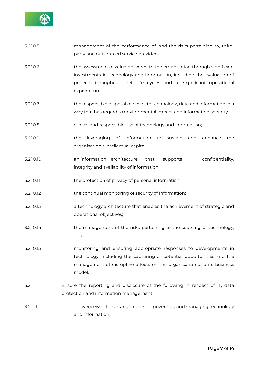

- 3.2.10.5 management of the performance of, and the risks pertaining to, thirdparty and outsourced service providers;
- 3.2.10.6 the assessment of value delivered to the organisation through significant investments in technology and information, including the evaluation of projects throughout their life cycles and of significant operational expenditure;
- 3.2.10.7 the responsible disposal of obsolete technology, data and information in a way that has regard to environmental impact and information security;
- 3.2.10.8 ethical and responsible use of technology and information;
- 3.2.10.9 the leveraging of information to sustain and enhance the organisation's intellectual capital;
- 3.2.10.10 an information architecture that supports confidentiality, integrity and availability of information;
- 3.2.10.11 the protection of privacy of personal information;
- 3.2.10.12 the continual monitoring of security of information;
- 3.2.10.13 a technology architecture that enables the achievement of strategic and operational objectives;
- 3.2.10.14 the management of the risks pertaining to the sourcing of technology; and
- 3.2.10.15 monitoring and ensuring appropriate responses to developments in technology, including the capturing of potential opportunities and the management of disruptive effects on the organisation and its business model.
- 3.2.11 Ensure the reporting and disclosure of the following in respect of IT, data protection and information management:
- 3.2.11.1 an overview of the arrangements for governing and managing technology and information;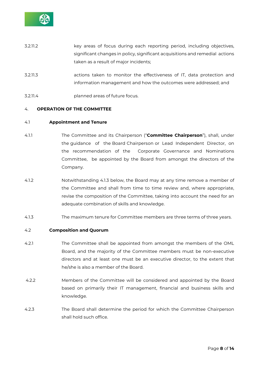

- 3.2.11.2 key areas of focus during each reporting period, including objectives, significant changes in policy, significant acquisitions and remedial actions taken as a result of major incidents;
- 3.2.11.3 actions taken to monitor the effectiveness of IT, data protection and information management and how the outcomes were addressed; and
- 3.2.11.4 planned areas of future focus.

#### 4. **OPERATION OF THE COMMITTEE**

#### 4.1 **Appointment and Tenure**

- 4.1.1 The Committee and its Chairperson ("**Committee Chairperson**"), shall, under the guidance of the Board Chairperson or Lead Independent Director, on the recommendation of the Corporate Governance and Nominations Committee, be appointed by the Board from amongst the directors of the Company.
- 4.1.2 Notwithstanding 4.1.3 below, the Board may at any time remove a member of the Committee and shall from time to time review and, where appropriate, revise the composition of the Committee, taking into account the need for an adequate combination of skills and knowledge.
- 4.1.3 The maximum tenure for Committee members are three terms of three years.

#### 4.2 **Composition and Quorum**

- 4.2.1 The Committee shall be appointed from amongst the members of the OML Board, and the majority of the Committee members must be non-executive directors and at least one must be an executive director, to the extent that he/she is also a member of the Board.
- 4.2.2 Members of the Committee will be considered and appointed by the Board based on primarily their IT management, financial and business skills and knowledge.
- 4.2.3 The Board shall determine the period for which the Committee Chairperson shall hold such office.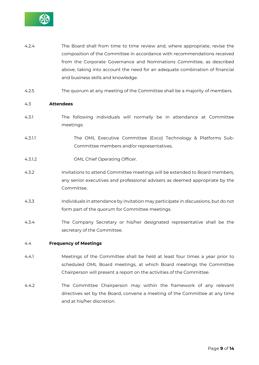

- 4.2.4 The Board shall from time to time review and, where appropriate, revise the composition of the Committee in accordance with recommendations received from the Corporate Governance and Nominations Committee, as described above, taking into account the need for an adequate combination of financial and business skills and knowledge.
- 4.2.5 The quorum at any meeting of the Committee shall be a majority of members.

#### 4.3 **Attendees**

- 4.3.1 The following individuals will normally be in attendance at Committee meetings:
- 4.3.1.1 The OML Executive Committee (Exco) Technology & Platforms Sub-Committee members and/or representatives.
- 4.3.1.2 OML Chief Operating Officer.
- 4.3.2 Invitations to attend Committee meetings will be extended to Board members, any senior executives and professional advisers as deemed appropriate by the Committee.
- 4.3.3 Individuals in attendance by invitation may participate in discussions, but do not form part of the quorum for Committee meetings.
- 4.3.4 The Company Secretary or his/her designated representative shall be the secretary of the Committee.

#### 4.4 **Frequency of Meetings**

- 4.4.1 Meetings of the Committee shall be held at least four times a year prior to scheduled OML Board meetings, at which Board meetings the Committee Chairperson will present a report on the activities of the Committee.
- 4.4.2 The Committee Chairperson may within the framework of any relevant directives set by the Board, convene a meeting of the Committee at any time and at his/her discretion.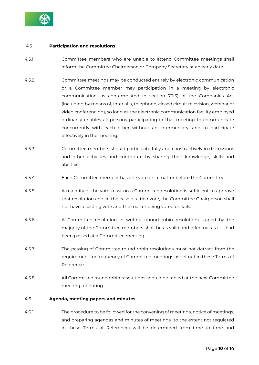

#### 4.5 **Participation and resolutions**

- 4.5.1 Committee members who are unable to attend Committee meetings shall inform the Committee Chairperson or Company Secretary at an early date.
- 4.5.2 Committee meetings may be conducted entirely by electronic communication or a Committee member may participation in a meeting by electronic communication, as contemplated in section 73(3) of the Companies Act (including by means of, inter alia, telephone, closed circuit television, webinar or video conferencing), so long as the electronic communication facility employed ordinarily enables all persons participating in that meeting to communicate concurrently with each other without an intermediary, and to participate effectively in the meeting.
- 4.5.3 Committee members should participate fully and constructively in discussions and other activities and contribute by sharing their knowledge, skills and abilities.
- 4.5.4 Each Committee member has one vote on a matter before the Committee.
- 4.5.5 A majority of the votes cast on a Committee resolution is sufficient to approve that resolution and, in the case of a tied vote, the Committee Chairperson shall not have a casting vote and the matter being voted on fails.
- 4.5.6 A Committee resolution in writing (round robin resolution) signed by the majority of the Committee members shall be as valid and effectual as if it had been passed at a Committee meeting.
- 4.5.7 The passing of Committee round robin resolutions must not detract from the requirement for frequency of Committee meetings as set out in these Terms of Reference.
- 4.5.8 All Committee round robin resolutions should be tabled at the next Committee meeting for noting.

#### 4.6 **Agenda, meeting papers and minutes**

4.6.1 The procedure to be followed for the convening of meetings, notice of meetings, and preparing agendas and minutes of meetings (to the extent not regulated in these Terms of Reference) will be determined from time to time and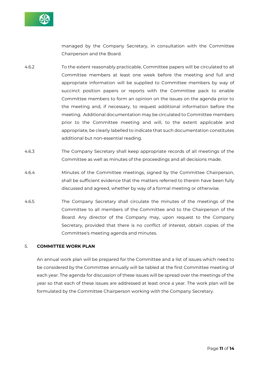

managed by the Company Secretary, in consultation with the Committee Chairperson and the Board.

- 4.6.2 To the extent reasonably practicable, Committee papers will be circulated to all Committee members at least one week before the meeting and full and appropriate information will be supplied to Committee members by way of succinct position papers or reports with the Committee pack to enable Committee members to form an opinion on the issues on the agenda prior to the meeting and, if necessary, to request additional information before the meeting. Additional documentation may be circulated to Committee members prior to the Committee meeting and will, to the extent applicable and appropriate, be clearly labelled to indicate that such documentation constitutes additional but non-essential reading.
- 4.6.3 The Company Secretary shall keep appropriate records of all meetings of the Committee as well as minutes of the proceedings and all decisions made.
- 4.6.4 Minutes of the Committee meetings, signed by the Committee Chairperson, shall be sufficient evidence that the matters referred to therein have been fully discussed and agreed, whether by way of a formal meeting or otherwise.
- 4.6.5 The Company Secretary shall circulate the minutes of the meetings of the Committee to all members of the Committee and to the Chairperson of the Board. Any director of the Company may, upon request to the Company Secretary, provided that there is no conflict of interest, obtain copies of the Committee's meeting agenda and minutes.

### 5. **COMMITTEE WORK PLAN**

An annual work plan will be prepared for the Committee and a list of issues which need to be considered by the Committee annually will be tabled at the first Committee meeting of each year. The agenda for discussion of these issues will be spread over the meetings of the year so that each of these issues are addressed at least once a year. The work plan will be formulated by the Committee Chairperson working with the Company Secretary.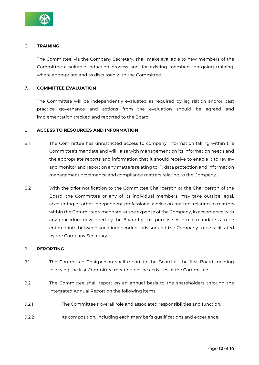

#### 6. **TRAINING**

The Committee, via the Company Secretary, shall make available to new members of the Committee a suitable induction process and, for existing members, on-going training, where appropriate and as discussed with the Committee.

## 7. **COMMITTEE EVALUATION**

The Committee will be independently evaluated as required by legislation and/or best practice governance and actions from the evaluation should be agreed and implementation tracked and reported to the Board.

#### 8. **ACCESS TO RESOURCES AND INFORMATION**

- 8.1 The Committee has unrestricted access to company information falling within the Committee's mandate and will liaise with management on its information needs and the appropriate reports and information that it should receive to enable it to review and monitor and report on any matters relating to IT, data protection and information management governance and compliance matters relating to the Company.
- 8.2 With the prior notification to the Committee Chairperson or the Chairperson of the Board, the Committee or any of its individual members, may take outside legal, accounting or other independent professional advice on matters relating to matters within the Committee's mandate, at the expense of the Company, in accordance with any procedure developed by the Board for this purpose. A formal mandate is to be entered into between such independent advisor and the Company to be facilitated by the Company Secretary.

#### 9. **REPORTING**

- 9.1 The Committee Chairperson shall report to the Board at the first Board meeting following the last Committee meeting on the activities of the Committee.
- 9.2 The Committee shall report on an annual basis to the shareholders through the Integrated Annual Report on the following items:
- 9.2.1 The Committee's overall role and associated responsibilities and function.
- 9.2.2 Its composition, including each member's qualifications and experience.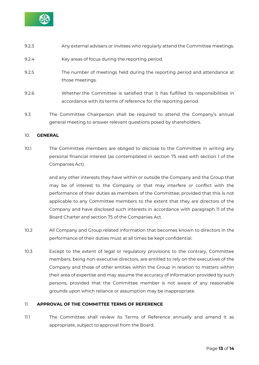![](_page_12_Picture_0.jpeg)

- 9.2.3 Any external advisers or invitees who regularly attend the Committee meetings.
- 9.2.4 Key areas of focus during the reporting period.
- 9.2.5 The number of meetings held during the reporting period and attendance at those meetings.
- 9.2.6 Whether the Committee is satisfied that it has fulfilled its responsibilities in accordance with its terms of reference for the reporting period.
- 9.3 The Committee Chairperson shall be required to attend the Company's annual general meeting to answer relevant questions posed by shareholders.

#### 10. **GENERAL**

10.1 The Committee members are obliged to disclose to the Committee in writing any personal financial interest (as contemplated in section 75 read with section 1 of the Companies Act)

> and any other interests they have within or outside the Company and the Group that may be of interest to the Company or that may interfere or conflict with the performance of their duties as members of the Committee; provided that this is not applicable to any Committee members to the extent that they are directors of the Company and have disclosed such interests in accordance with paragraph 11 of the Board Charter and section 75 of the Companies Act.

- 10.2 All Company and Group related information that becomes known to directors in the performance of their duties must at all times be kept confidential.
- 10.3 Except to the extent of legal or regulatory provisions to the contrary, Committee members, being non-executive directors, are entitled to rely on the executives of the Company and those of other entities within the Group in relation to matters within their area of expertise and may assume the accuracy of information provided by such persons, provided that the Committee member is not aware of any reasonable grounds upon which reliance or assumption may be inappropriate.

# 11. **APPROVAL OF THE COMMITTEE TERMS OF REFERENCE**

11.1 The Committee shall review its Terms of Reference annually and amend it as appropriate, subject to approval from the Board.